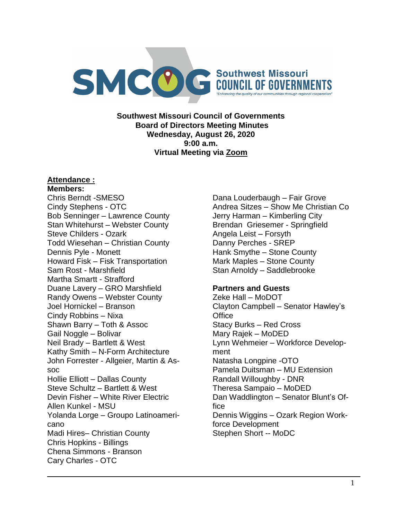

**Southwest Missouri Council of Governments Board of Directors Meeting Minutes Wednesday, August 26, 2020 9:00 a.m. Virtual Meeting via Zoom**

## **Attendance :**

**Members:** Chris Berndt -SMESO Cindy Stephens - OTC Bob Senninger – Lawrence County Stan Whitehurst – Webster County Steve Childers - Ozark Todd Wiesehan – Christian County Dennis Pyle - Monett Howard Fisk – Fisk Transportation Sam Rost - Marshfield Martha Smartt - Strafford Duane Lavery – GRO Marshfield Randy Owens – Webster County Joel Hornickel – Branson Cindy Robbins – Nixa Shawn Barry – Toth & Assoc Gail Noggle – Bolivar Neil Brady – Bartlett & West Kathy Smith – N-Form Architecture John Forrester - Allgeier, Martin & Assoc Hollie Elliott – Dallas County Steve Schultz – Bartlett & West Devin Fisher – White River Electric Allen Kunkel - MSU Yolanda Lorge – Groupo Latinoamericano Madi Hires– Christian County Chris Hopkins - Billings Chena Simmons - Branson Cary Charles - OTC

Dana Louderbaugh – Fair Grove Andrea Sitzes – Show Me Christian Co Jerry Harman – Kimberling City Brendan Griesemer - Springfield Angela Leist – Forsyth Danny Perches - SREP Hank Smythe – Stone County Mark Maples – Stone County Stan Arnoldy – Saddlebrooke

## **Partners and Guests**

Zeke Hall – MoDOT Clayton Campbell – Senator Hawley's **Office** Stacy Burks – Red Cross Mary Rajek – MoDED Lynn Wehmeier – Workforce Development Natasha Longpine -OTO Pamela Duitsman – MU Extension Randall Willoughby - DNR Theresa Sampaio – MoDED Dan Waddlington – Senator Blunt's Office Dennis Wiggins – Ozark Region Workforce Development Stephen Short -- MoDC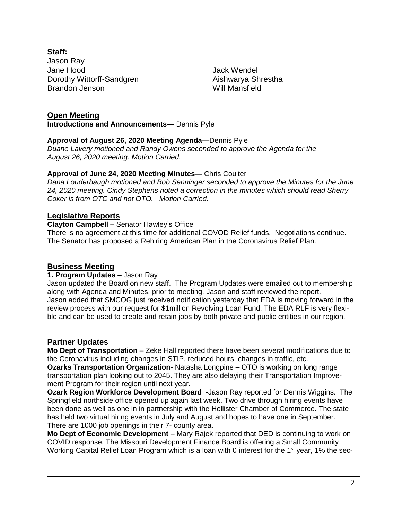**Staff:** Jason Ray Jane Hood Dorothy Wittorff-Sandgren Brandon Jenson

Jack Wendel Aishwarya Shrestha Will Mansfield

# **Open Meeting**

**Introductions and Announcements—** Dennis Pyle

#### **Approval of August 26, 2020 Meeting Agenda—**Dennis Pyle

*Duane Lavery motioned and Randy Owens seconded to approve the Agenda for the August 26, 2020 meeting. Motion Carried.*

## **Approval of June 24, 2020 Meeting Minutes—** Chris Coulter

*Dana Louderbaugh motioned and Bob Senninger seconded to approve the Minutes for the June 24, 2020 meeting. Cindy Stephens noted a correction in the minutes which should read Sherry Coker is from OTC and not OTO. Motion Carried.*

## **Legislative Reports**

#### **Clayton Campbell –** Senator Hawley's Office

There is no agreement at this time for additional COVOD Relief funds. Negotiations continue. The Senator has proposed a Rehiring American Plan in the Coronavirus Relief Plan.

## **Business Meeting**

#### **1. Program Updates –** Jason Ray

Jason updated the Board on new staff. The Program Updates were emailed out to membership along with Agenda and Minutes, prior to meeting. Jason and staff reviewed the report. Jason added that SMCOG just received notification yesterday that EDA is moving forward in the review process with our request for \$1million Revolving Loan Fund. The EDA RLF is very flexible and can be used to create and retain jobs by both private and public entities in our region.

## **Partner Updates**

**Mo Dept of Transportation** – Zeke Hall reported there have been several modifications due to the Coronavirus including changes in STIP, reduced hours, changes in traffic, etc.

**Ozarks Transportation Organization-** Natasha Longpine – OTO is working on long range transportation plan looking out to 2045. They are also delaying their Transportation Improvement Program for their region until next year.

**Ozark Region Workforce Development Board** -Jason Ray reported for Dennis Wiggins. The Springfield northside office opened up again last week. Two drive through hiring events have been done as well as one in in partnership with the Hollister Chamber of Commerce. The state has held two virtual hiring events in July and August and hopes to have one in September. There are 1000 job openings in their 7- county area.

**Mo Dept of Economic Development** – Mary Rajek reported that DED is continuing to work on COVID response. The Missouri Development Finance Board is offering a Small Community Working Capital Relief Loan Program which is a loan with 0 interest for the 1<sup>st</sup> year, 1% the sec